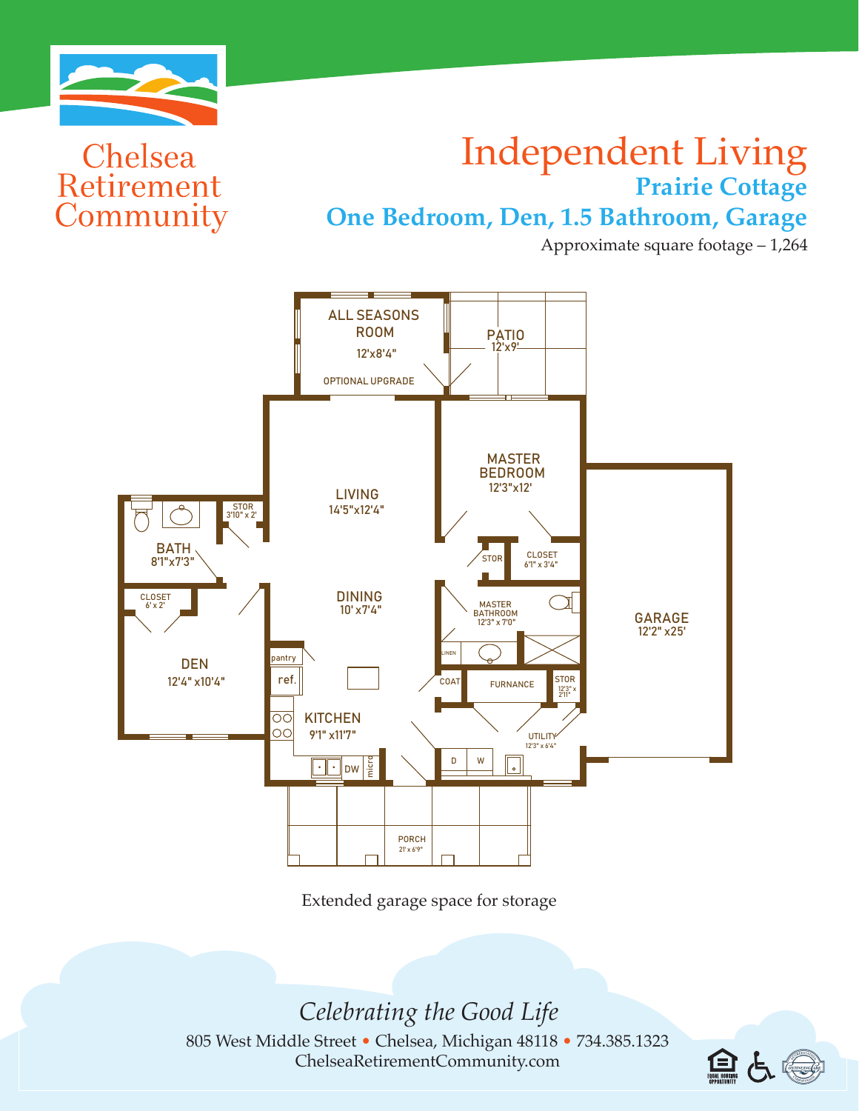

Chelsea

Retirement

Community

## Independent Living **Prairie Cottage** on the Half-Baths

**One Bedroom, Den, 1.5 Bathroom, Garage** One Reducem Den 1

Approximate square footage – 1,264



ONE & HALF-BATHS

ONE CAR GARAGE

Extended garage space for storage

*Celebrating the Good Life*

805 West Middle Street • Chelsea, Michigan 48118 • 734.385.1323 ChelseaRetirementCommunity.com

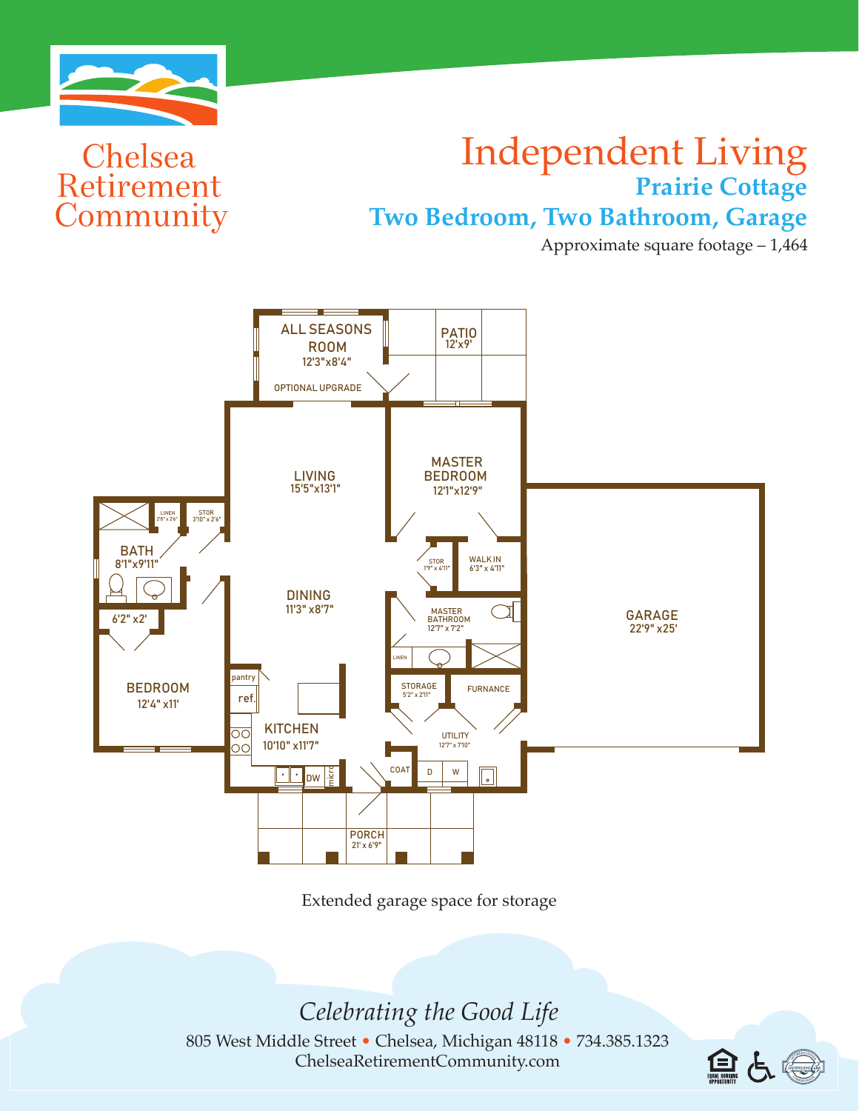

Chelsea

Retirement

Community

## Independent Living **Prairie Cottage** TWO-BATHS

Two Bedroom, Two Bathroom, Garage

Approximate square footage – 1,464



TWO-BATHS

Extended garage space for storage

*Celebrating the Good Life*

805 West Middle Street • Chelsea, Michigan 48118 • 734.385.1323 ChelseaRetirementCommunity.com